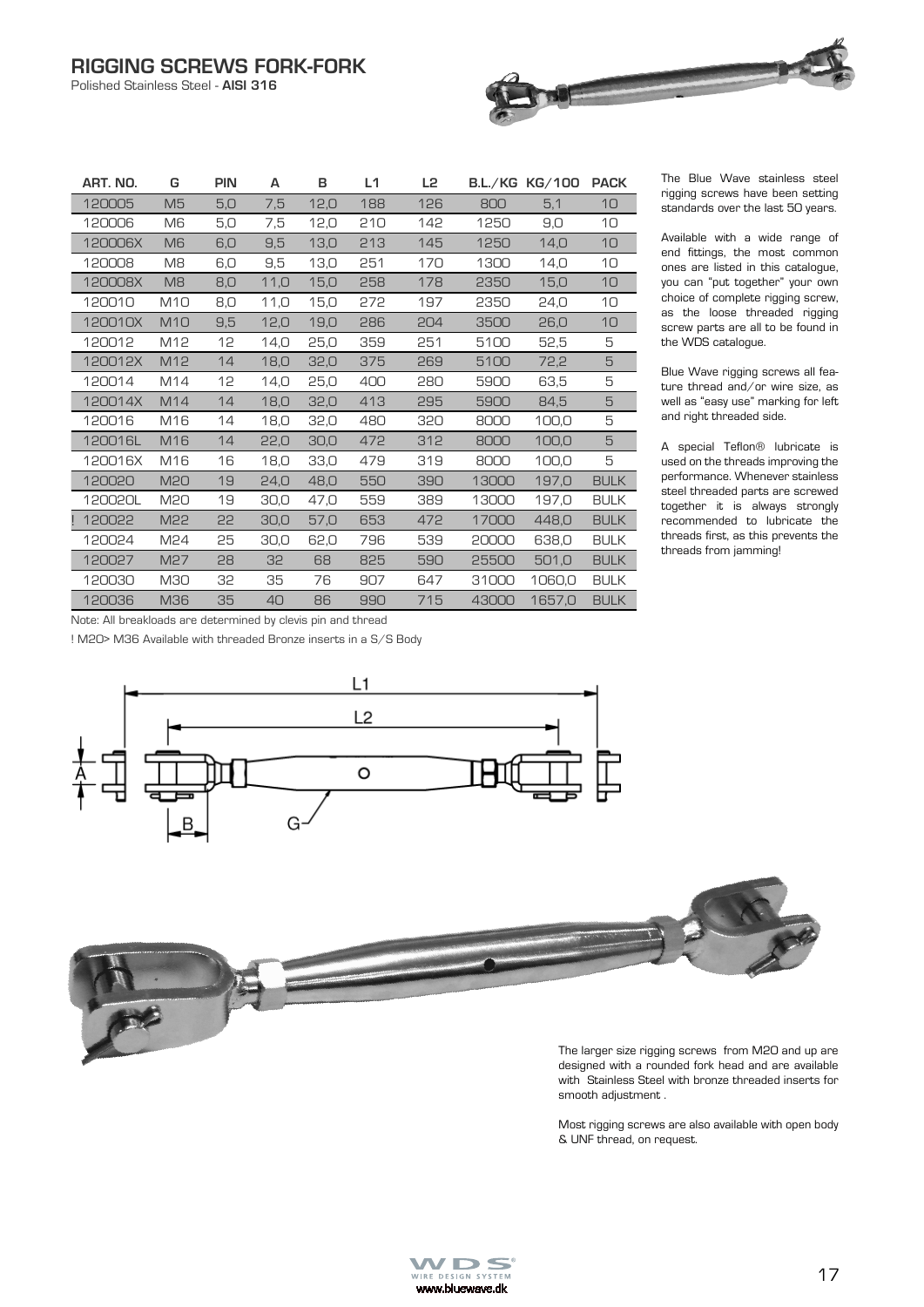Polished Stainless Steel - **AISI 316**

| ART. NO. | G               | <b>PIN</b> | A     | в    | L1  | L2  |       | B.L./KG KG/100 | <b>PACK</b> |
|----------|-----------------|------------|-------|------|-----|-----|-------|----------------|-------------|
| 120005   | M <sub>5</sub>  | 5,0        | 7,5   | 12,0 | 188 | 126 | 800   | 5,1            | 10          |
| 120006   | M6              | 5,0        | 7,5   | 12,0 | 210 | 142 | 1250  | 9,0            | 10          |
| 120006X  | M <sub>6</sub>  | 6,0        | 9,5   | 13,0 | 213 | 145 | 1250  | 14,0           | 10          |
| 120008   | M8              | 6,0        | 9,5   | 13,0 | 251 | 170 | 1300  | 14,0           | 10          |
| 120008X  | M <sub>8</sub>  | 8,0        | 11,0  | 15,0 | 258 | 178 | 2350  | 15,0           | 10          |
| 120010   | M <sub>10</sub> | 8,0        | 11, O | 15,0 | 272 | 197 | 2350  | 24,0           | 10          |
| 120010X  | <b>M10</b>      | 9,5        | 12,0  | 19,0 | 286 | 204 | 3500  | 26.0           | 10          |
| 120012   | M12             | 12         | 14,0  | 25,0 | 359 | 251 | 5100  | 52,5           | 5           |
| 120012X  | M12             | 14         | 18,0  | 32,0 | 375 | 269 | 5100  | 72,2           | 5           |
| 120014   | M14             | 12         | 14,0  | 25,0 | 400 | 280 | 5900  | 63,5           | 5           |
| 120014X  | M <sub>14</sub> | 14         | 18,0  | 32,0 | 413 | 295 | 5900  | 84,5           | 5           |
| 120016   | M16             | 14         | 18,0  | 32,0 | 480 | 320 | 8000  | 100,0          | 5           |
| 120016L  | M16             | 14         | 22,0  | 30,0 | 472 | 312 | 8000  | 100,0          | 5           |
| 120016X  | M16             | 16         | 18,0  | 33.0 | 479 | 319 | 8000  | 100.0          | 5           |
| 120020   | <b>M20</b>      | 19         | 24,0  | 48.0 | 550 | 390 | 13000 | 197,0          | <b>BULK</b> |
| 120020L  | M20             | 19         | 30,0  | 47,0 | 559 | 389 | 13000 | 197,0          | <b>BULK</b> |
| 120022   | M22             | 22         | 30,0  | 57,0 | 653 | 472 | 17000 | 448.0          | <b>BULK</b> |
| 120024   | M <sub>24</sub> | 25         | 30,0  | 62,0 | 796 | 539 | 20000 | 638,0          | <b>BULK</b> |
| 120027   | M <sub>27</sub> | 28         | 32    | 68   | 825 | 590 | 25500 | 501.0          | <b>BULK</b> |
| 120030   | <b>M30</b>      | 32         | 35    | 76   | 907 | 647 | 31000 | 1060.0         | <b>BULK</b> |
| 120036   | <b>M36</b>      | 35         | 40    | 86   | 990 | 715 | 43000 | 1657.0         | <b>BULK</b> |

The Blue Wave stainless steel rigging screws have been setting standards over the last 50 years.

Available with a wide range of end fittings, the most common ones are listed in this catalogue, you can "put together" your own choice of complete rigging screw, as the loose threaded rigging screw parts are all to be found in the WDS catalogue.

Blue Wave rigging screws all feature thread and/or wire size, as well as "easy use" marking for left and right threaded side.

A special Teflon® lubricate is used on the threads improving the performance. Whenever stainless steel threaded parts are screwed together it is always strongly recommended to lubricate the threads first, as this prevents the threads from jamming!

Note: All breakloads are determined by clevis pin and thread

! M20> M36 Available with threaded Bronze inserts in a S/S Body





Most rigging screws are also available with open body & UNF thread, on request.